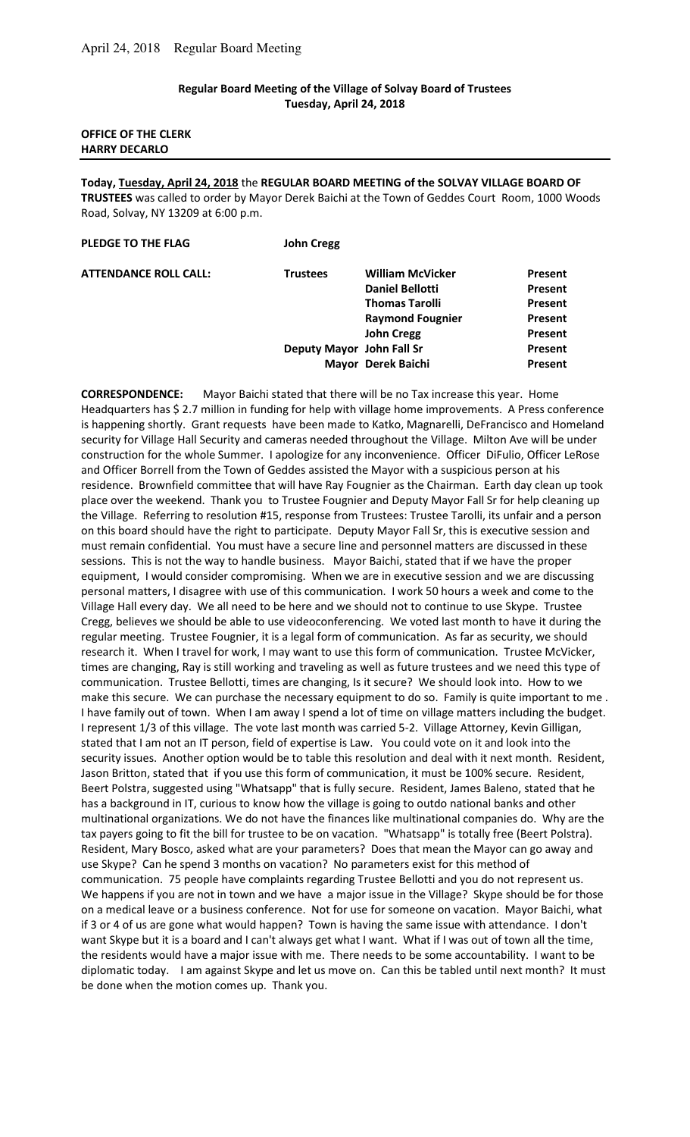### **Regular Board Meeting of the Village of Solvay Board of Trustees Tuesday, April 24, 2018**

## **OFFICE OF THE CLERK HARRY DECARLO**

**Today, Tuesday, April 24, 2018** the **REGULAR BOARD MEETING of the SOLVAY VILLAGE BOARD OF TRUSTEES** was called to order by Mayor Derek Baichi at the Town of Geddes Court Room, 1000 Woods Road, Solvay, NY 13209 at 6:00 p.m.

| <b>William McVicker</b> | Present                                         |
|-------------------------|-------------------------------------------------|
| <b>Daniel Bellotti</b>  | <b>Present</b>                                  |
| <b>Thomas Tarolli</b>   | <b>Present</b>                                  |
| <b>Raymond Fougnier</b> | <b>Present</b>                                  |
| <b>John Cregg</b>       | Present                                         |
|                         | <b>Present</b>                                  |
|                         | <b>Present</b>                                  |
|                         | Deputy Mayor John Fall Sr<br>Mayor Derek Baichi |

**CORRESPONDENCE:** Mayor Baichi stated that there will be no Tax increase this year. Home Headquarters has \$ 2.7 million in funding for help with village home improvements. A Press conference is happening shortly. Grant requests have been made to Katko, Magnarelli, DeFrancisco and Homeland security for Village Hall Security and cameras needed throughout the Village. Milton Ave will be under construction for the whole Summer. I apologize for any inconvenience. Officer DiFulio, Officer LeRose and Officer Borrell from the Town of Geddes assisted the Mayor with a suspicious person at his residence. Brownfield committee that will have Ray Fougnier as the Chairman. Earth day clean up took place over the weekend. Thank you to Trustee Fougnier and Deputy Mayor Fall Sr for help cleaning up the Village. Referring to resolution #15, response from Trustees: Trustee Tarolli, its unfair and a person on this board should have the right to participate. Deputy Mayor Fall Sr, this is executive session and must remain confidential. You must have a secure line and personnel matters are discussed in these sessions. This is not the way to handle business. Mayor Baichi, stated that if we have the proper equipment, I would consider compromising. When we are in executive session and we are discussing personal matters, I disagree with use of this communication. I work 50 hours a week and come to the Village Hall every day. We all need to be here and we should not to continue to use Skype. Trustee Cregg, believes we should be able to use videoconferencing. We voted last month to have it during the regular meeting. Trustee Fougnier, it is a legal form of communication. As far as security, we should research it. When I travel for work, I may want to use this form of communication. Trustee McVicker, times are changing, Ray is still working and traveling as well as future trustees and we need this type of communication. Trustee Bellotti, times are changing, Is it secure? We should look into. How to we make this secure. We can purchase the necessary equipment to do so. Family is quite important to me . I have family out of town. When I am away I spend a lot of time on village matters including the budget. I represent 1/3 of this village. The vote last month was carried 5-2. Village Attorney, Kevin Gilligan, stated that I am not an IT person, field of expertise is Law. You could vote on it and look into the security issues. Another option would be to table this resolution and deal with it next month. Resident, Jason Britton, stated that if you use this form of communication, it must be 100% secure. Resident, Beert Polstra, suggested using "Whatsapp" that is fully secure. Resident, James Baleno, stated that he has a background in IT, curious to know how the village is going to outdo national banks and other multinational organizations. We do not have the finances like multinational companies do. Why are the tax payers going to fit the bill for trustee to be on vacation. "Whatsapp" is totally free (Beert Polstra). Resident, Mary Bosco, asked what are your parameters? Does that mean the Mayor can go away and use Skype? Can he spend 3 months on vacation? No parameters exist for this method of communication. 75 people have complaints regarding Trustee Bellotti and you do not represent us. We happens if you are not in town and we have a major issue in the Village? Skype should be for those on a medical leave or a business conference. Not for use for someone on vacation. Mayor Baichi, what if 3 or 4 of us are gone what would happen? Town is having the same issue with attendance. I don't want Skype but it is a board and I can't always get what I want. What if I was out of town all the time, the residents would have a major issue with me. There needs to be some accountability. I want to be diplomatic today. I am against Skype and let us move on. Can this be tabled until next month? It must be done when the motion comes up. Thank you.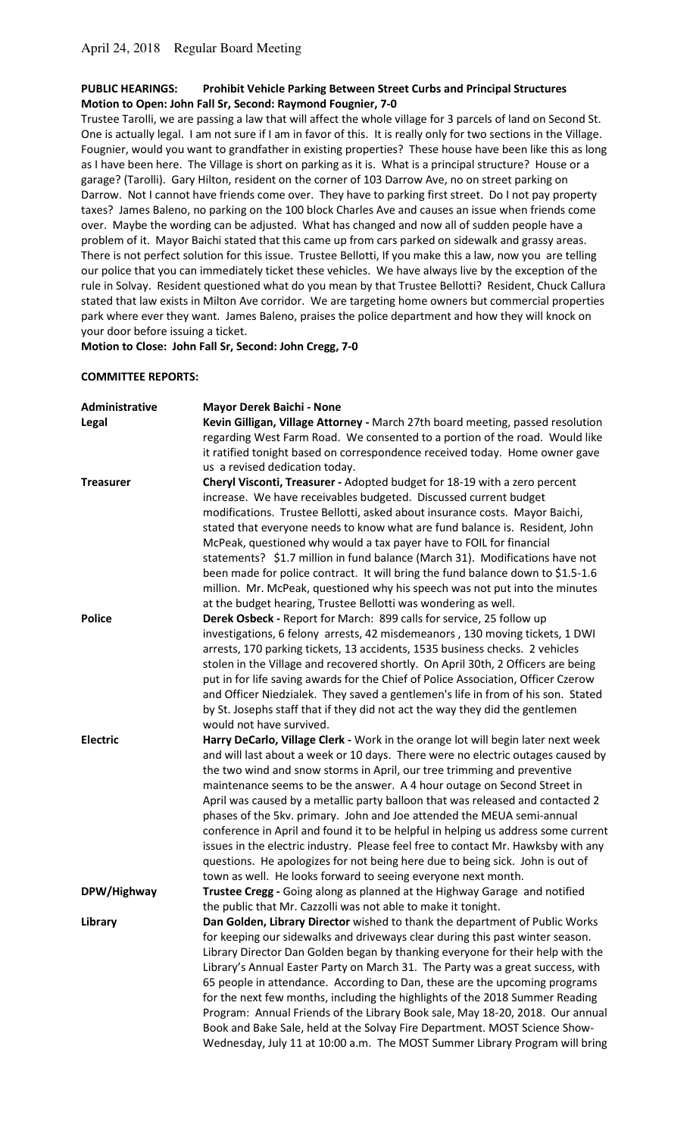## **PUBLIC HEARINGS: Prohibit Vehicle Parking Between Street Curbs and Principal Structures Motion to Open: John Fall Sr, Second: Raymond Fougnier, 7-0**

Trustee Tarolli, we are passing a law that will affect the whole village for 3 parcels of land on Second St. One is actually legal. I am not sure if I am in favor of this. It is really only for two sections in the Village. Fougnier, would you want to grandfather in existing properties? These house have been like this as long as I have been here. The Village is short on parking as it is. What is a principal structure? House or a garage? (Tarolli). Gary Hilton, resident on the corner of 103 Darrow Ave, no on street parking on Darrow. Not I cannot have friends come over. They have to parking first street. Do I not pay property taxes? James Baleno, no parking on the 100 block Charles Ave and causes an issue when friends come over. Maybe the wording can be adjusted. What has changed and now all of sudden people have a problem of it. Mayor Baichi stated that this came up from cars parked on sidewalk and grassy areas. There is not perfect solution for this issue. Trustee Bellotti, If you make this a law, now you are telling our police that you can immediately ticket these vehicles. We have always live by the exception of the rule in Solvay. Resident questioned what do you mean by that Trustee Bellotti? Resident, Chuck Callura stated that law exists in Milton Ave corridor. We are targeting home owners but commercial properties park where ever they want. James Baleno, praises the police department and how they will knock on your door before issuing a ticket.

**Motion to Close: John Fall Sr, Second: John Cregg, 7-0** 

## **COMMITTEE REPORTS:**

| Administrative   | <b>Mayor Derek Baichi - None</b>                                                  |
|------------------|-----------------------------------------------------------------------------------|
| Legal            | Kevin Gilligan, Village Attorney - March 27th board meeting, passed resolution    |
|                  | regarding West Farm Road. We consented to a portion of the road. Would like       |
|                  | it ratified tonight based on correspondence received today. Home owner gave       |
|                  | us a revised dedication today.                                                    |
| <b>Treasurer</b> | Cheryl Visconti, Treasurer - Adopted budget for 18-19 with a zero percent         |
|                  | increase. We have receivables budgeted. Discussed current budget                  |
|                  | modifications. Trustee Bellotti, asked about insurance costs. Mayor Baichi,       |
|                  | stated that everyone needs to know what are fund balance is. Resident, John       |
|                  | McPeak, questioned why would a tax payer have to FOIL for financial               |
|                  | statements? \$1.7 million in fund balance (March 31). Modifications have not      |
|                  | been made for police contract. It will bring the fund balance down to \$1.5-1.6   |
|                  | million. Mr. McPeak, questioned why his speech was not put into the minutes       |
|                  | at the budget hearing, Trustee Bellotti was wondering as well.                    |
| <b>Police</b>    | Derek Osbeck - Report for March: 899 calls for service, 25 follow up              |
|                  | investigations, 6 felony arrests, 42 misdemeanors, 130 moving tickets, 1 DWI      |
|                  | arrests, 170 parking tickets, 13 accidents, 1535 business checks. 2 vehicles      |
|                  | stolen in the Village and recovered shortly. On April 30th, 2 Officers are being  |
|                  | put in for life saving awards for the Chief of Police Association, Officer Czerow |
|                  | and Officer Niedzialek. They saved a gentlemen's life in from of his son. Stated  |
|                  | by St. Josephs staff that if they did not act the way they did the gentlemen      |
|                  | would not have survived.                                                          |
| <b>Electric</b>  | Harry DeCarlo, Village Clerk - Work in the orange lot will begin later next week  |
|                  | and will last about a week or 10 days. There were no electric outages caused by   |
|                  | the two wind and snow storms in April, our tree trimming and preventive           |
|                  | maintenance seems to be the answer. A 4 hour outage on Second Street in           |
|                  | April was caused by a metallic party balloon that was released and contacted 2    |
|                  | phases of the 5kv. primary. John and Joe attended the MEUA semi-annual            |
|                  | conference in April and found it to be helpful in helping us address some current |
|                  | issues in the electric industry. Please feel free to contact Mr. Hawksby with any |
|                  | questions. He apologizes for not being here due to being sick. John is out of     |
|                  | town as well. He looks forward to seeing everyone next month.                     |
| DPW/Highway      | Trustee Cregg - Going along as planned at the Highway Garage and notified         |
|                  | the public that Mr. Cazzolli was not able to make it tonight.                     |
| Library          | Dan Golden, Library Director wished to thank the department of Public Works       |
|                  | for keeping our sidewalks and driveways clear during this past winter season.     |
|                  | Library Director Dan Golden began by thanking everyone for their help with the    |
|                  | Library's Annual Easter Party on March 31. The Party was a great success, with    |
|                  | 65 people in attendance. According to Dan, these are the upcoming programs        |
|                  | for the next few months, including the highlights of the 2018 Summer Reading      |
|                  | Program: Annual Friends of the Library Book sale, May 18-20, 2018. Our annual     |
|                  | Book and Bake Sale, held at the Solvay Fire Department. MOST Science Show-        |
|                  | Wednesday, July 11 at 10:00 a.m. The MOST Summer Library Program will bring       |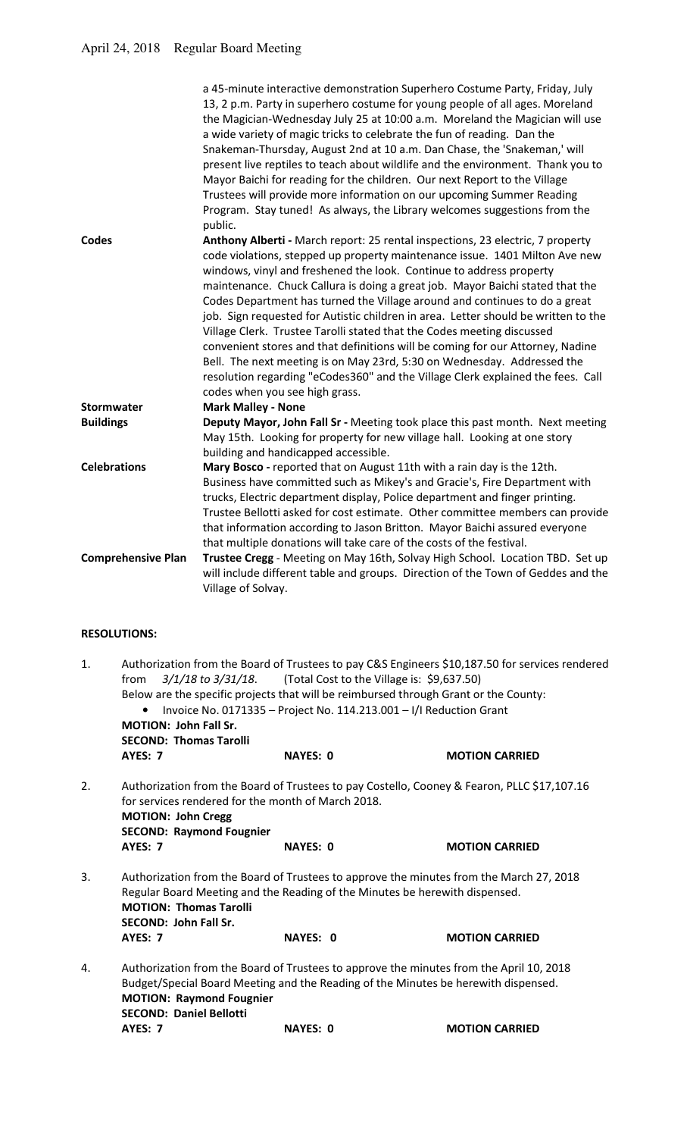|                           | a 45-minute interactive demonstration Superhero Costume Party, Friday, July<br>13, 2 p.m. Party in superhero costume for young people of all ages. Moreland<br>the Magician-Wednesday July 25 at 10:00 a.m. Moreland the Magician will use<br>a wide variety of magic tricks to celebrate the fun of reading. Dan the<br>Snakeman-Thursday, August 2nd at 10 a.m. Dan Chase, the 'Snakeman,' will<br>present live reptiles to teach about wildlife and the environment. Thank you to<br>Mayor Baichi for reading for the children. Our next Report to the Village<br>Trustees will provide more information on our upcoming Summer Reading<br>Program. Stay tuned! As always, the Library welcomes suggestions from the<br>public.                                                                                                                    |
|---------------------------|-------------------------------------------------------------------------------------------------------------------------------------------------------------------------------------------------------------------------------------------------------------------------------------------------------------------------------------------------------------------------------------------------------------------------------------------------------------------------------------------------------------------------------------------------------------------------------------------------------------------------------------------------------------------------------------------------------------------------------------------------------------------------------------------------------------------------------------------------------|
| Codes                     | Anthony Alberti - March report: 25 rental inspections, 23 electric, 7 property<br>code violations, stepped up property maintenance issue. 1401 Milton Ave new<br>windows, vinyl and freshened the look. Continue to address property<br>maintenance. Chuck Callura is doing a great job. Mayor Baichi stated that the<br>Codes Department has turned the Village around and continues to do a great<br>job. Sign requested for Autistic children in area. Letter should be written to the<br>Village Clerk. Trustee Tarolli stated that the Codes meeting discussed<br>convenient stores and that definitions will be coming for our Attorney, Nadine<br>Bell. The next meeting is on May 23rd, 5:30 on Wednesday. Addressed the<br>resolution regarding "eCodes360" and the Village Clerk explained the fees. Call<br>codes when you see high grass. |
| <b>Stormwater</b>         | <b>Mark Malley - None</b>                                                                                                                                                                                                                                                                                                                                                                                                                                                                                                                                                                                                                                                                                                                                                                                                                             |
| <b>Buildings</b>          | Deputy Mayor, John Fall Sr - Meeting took place this past month. Next meeting<br>May 15th. Looking for property for new village hall. Looking at one story<br>building and handicapped accessible.                                                                                                                                                                                                                                                                                                                                                                                                                                                                                                                                                                                                                                                    |
| <b>Celebrations</b>       | Mary Bosco - reported that on August 11th with a rain day is the 12th.<br>Business have committed such as Mikey's and Gracie's, Fire Department with<br>trucks, Electric department display, Police department and finger printing.<br>Trustee Bellotti asked for cost estimate. Other committee members can provide<br>that information according to Jason Britton. Mayor Baichi assured everyone<br>that multiple donations will take care of the costs of the festival.                                                                                                                                                                                                                                                                                                                                                                            |
| <b>Comprehensive Plan</b> | Trustee Cregg - Meeting on May 16th, Solvay High School. Location TBD. Set up<br>will include different table and groups. Direction of the Town of Geddes and the<br>Village of Solvay.                                                                                                                                                                                                                                                                                                                                                                                                                                                                                                                                                                                                                                                               |

# **RESOLUTIONS:**

| 1. | from                                                              | 3/1/18 to 3/31/18. (Total Cost to the Village is: \$9,637.50)                        | Authorization from the Board of Trustees to pay C&S Engineers \$10,187.50 for services rendered |
|----|-------------------------------------------------------------------|--------------------------------------------------------------------------------------|-------------------------------------------------------------------------------------------------|
|    |                                                                   | Below are the specific projects that will be reimbursed through Grant or the County: |                                                                                                 |
|    |                                                                   | Invoice No. 0171335 - Project No. 114.213.001 - I/I Reduction Grant                  |                                                                                                 |
|    | <b>MOTION: John Fall Sr.</b>                                      |                                                                                      |                                                                                                 |
|    | <b>SECOND: Thomas Tarolli</b>                                     |                                                                                      |                                                                                                 |
|    | <b>AYES: 7</b>                                                    | <b>NAYES: 0</b>                                                                      | <b>MOTION CARRIED</b>                                                                           |
| 2. | <b>MOTION: John Cregg</b><br><b>SECOND: Raymond Fougnier</b>      | for services rendered for the month of March 2018.                                   | Authorization from the Board of Trustees to pay Costello, Cooney & Fearon, PLLC \$17,107.16     |
|    | <b>AYES: 7</b>                                                    | <b>NAYES: 0</b>                                                                      | <b>MOTION CARRIED</b>                                                                           |
| 3. | <b>MOTION: Thomas Tarolli</b><br><b>SECOND: John Fall Sr.</b>     | Regular Board Meeting and the Reading of the Minutes be herewith dispensed.          | Authorization from the Board of Trustees to approve the minutes from the March 27, 2018         |
|    | <b>AYES: 7</b>                                                    | NAYES: 0                                                                             | <b>MOTION CARRIED</b>                                                                           |
| 4. | <b>MOTION: Raymond Fougnier</b><br><b>SECOND: Daniel Bellotti</b> | Budget/Special Board Meeting and the Reading of the Minutes be herewith dispensed.   | Authorization from the Board of Trustees to approve the minutes from the April 10, 2018         |
|    | <b>AYES: 7</b>                                                    | <b>NAYES: 0</b>                                                                      | <b>MOTION CARRIED</b>                                                                           |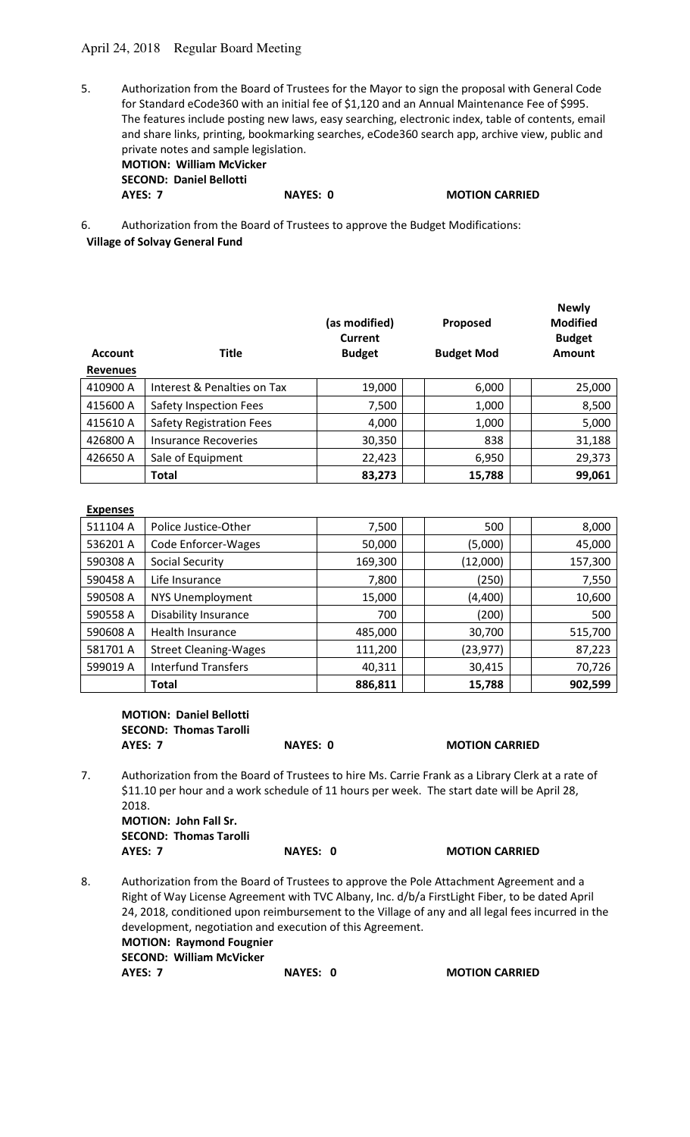# April 24, 2018 Regular Board Meeting

5. Authorization from the Board of Trustees for the Mayor to sign the proposal with General Code for Standard eCode360 with an initial fee of \$1,120 and an Annual Maintenance Fee of \$995. The features include posting new laws, easy searching, electronic index, table of contents, email and share links, printing, bookmarking searches, eCode360 search app, archive view, public and private notes and sample legislation.  **MOTION: William McVicker** 

| <b>MOTION: William McVicker</b> |     |
|---------------------------------|-----|
| <b>SECOND: Daniel Bellotti</b>  |     |
| AYES: 7                         | NA) |

**PES: 0 MOTION CARRIED** 

6. Authorization from the Board of Trustees to approve the Budget Modifications: **Village of Solvay General Fund**

| <b>Account</b><br><b>Revenues</b> | <b>Title</b>                    | (as modified)<br>Current<br><b>Budget</b> | Proposed<br><b>Budget Mod</b> | <b>Newly</b><br><b>Modified</b><br><b>Budget</b><br>Amount |
|-----------------------------------|---------------------------------|-------------------------------------------|-------------------------------|------------------------------------------------------------|
| 410900 A                          | Interest & Penalties on Tax     | 19,000                                    | 6,000                         | 25,000                                                     |
| 415600 A                          | Safety Inspection Fees          | 7,500                                     | 1,000                         | 8,500                                                      |
| 415610 A                          | <b>Safety Registration Fees</b> | 4,000                                     | 1,000                         | 5,000                                                      |
| 426800 A                          | Insurance Recoveries            | 30,350                                    | 838                           | 31,188                                                     |
| 426650 A                          | Sale of Equipment               | 22,423                                    | 6,950                         | 29,373                                                     |
|                                   | <b>Total</b>                    | 83,273                                    | 15,788                        | 99,061                                                     |

#### **Expenses**

| 511104 A | Police Justice-Other         | 7,500   | 500       | 8,000   |
|----------|------------------------------|---------|-----------|---------|
| 536201 A | Code Enforcer-Wages          | 50,000  | (5,000)   | 45,000  |
| 590308 A | <b>Social Security</b>       | 169,300 | (12,000)  | 157,300 |
| 590458 A | Life Insurance               | 7,800   | (250)     | 7,550   |
| 590508 A | NYS Unemployment             | 15,000  | (4,400)   | 10,600  |
| 590558 A | <b>Disability Insurance</b>  | 700     | (200)     | 500     |
| 590608 A | Health Insurance             | 485,000 | 30,700    | 515,700 |
| 581701 A | <b>Street Cleaning-Wages</b> | 111,200 | (23, 977) | 87,223  |
| 599019 A | <b>Interfund Transfers</b>   | 40,311  | 30,415    | 70,726  |
|          | Total                        | 886,811 | 15,788    | 902,599 |

**MOTION: Daniel Bellotti**  SEC

| SECOND: Thomas Tarolli |
|------------------------|
|                        |
|                        |
|                        |
|                        |
|                        |
|                        |
|                        |

**AYES: 7** NAYES: 0 MOTION CARRIED

7. Authorization from the Board of Trustees to hire Ms. Carrie Frank as a Library Clerk at a rate of \$11.10 per hour and a work schedule of 11 hours per week. The start date will be April 28, 2018.

 **MOTION: John Fall Sr. SECOND: Thomas Tarolli AYES: 7 NAYES: 0 MOTION CARRIED** 

8. Authorization from the Board of Trustees to approve the Pole Attachment Agreement and a Right of Way License Agreement with TVC Albany, Inc. d/b/a FirstLight Fiber, to be dated April 24, 2018, conditioned upon reimbursement to the Village of any and all legal fees incurred in the development, negotiation and execution of this Agreement.  **MOTION: Raymond Fougnier SECOND: William McVicker AYES: 7** NAYES: 0 MOTION CARRIED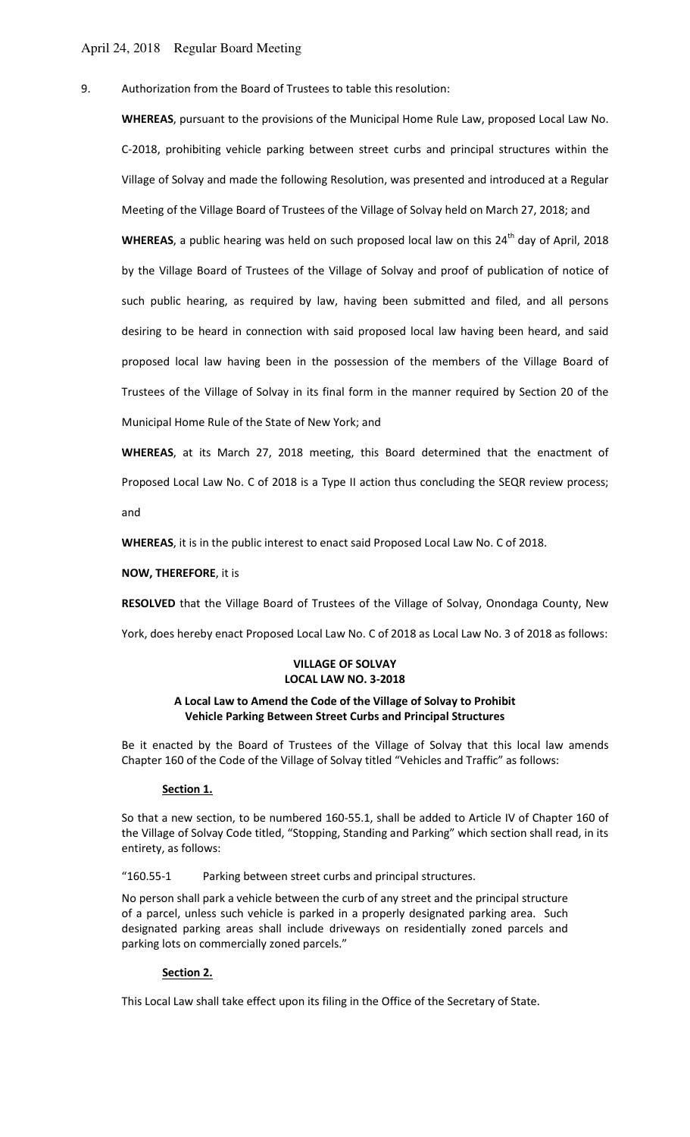9. Authorization from the Board of Trustees to table this resolution:

**WHEREAS**, pursuant to the provisions of the Municipal Home Rule Law, proposed Local Law No. C-2018, prohibiting vehicle parking between street curbs and principal structures within the Village of Solvay and made the following Resolution, was presented and introduced at a Regular Meeting of the Village Board of Trustees of the Village of Solvay held on March 27, 2018; and

WHEREAS, a public hearing was held on such proposed local law on this 24<sup>th</sup> day of April, 2018 by the Village Board of Trustees of the Village of Solvay and proof of publication of notice of such public hearing, as required by law, having been submitted and filed, and all persons desiring to be heard in connection with said proposed local law having been heard, and said proposed local law having been in the possession of the members of the Village Board of Trustees of the Village of Solvay in its final form in the manner required by Section 20 of the Municipal Home Rule of the State of New York; and

**WHEREAS**, at its March 27, 2018 meeting, this Board determined that the enactment of Proposed Local Law No. C of 2018 is a Type II action thus concluding the SEQR review process; and

**WHEREAS**, it is in the public interest to enact said Proposed Local Law No. C of 2018.

#### **NOW, THEREFORE**, it is

**RESOLVED** that the Village Board of Trustees of the Village of Solvay, Onondaga County, New

York, does hereby enact Proposed Local Law No. C of 2018 as Local Law No. 3 of 2018 as follows:

## **VILLAGE OF SOLVAY LOCAL LAW NO. 3-2018**

### **A Local Law to Amend the Code of the Village of Solvay to Prohibit Vehicle Parking Between Street Curbs and Principal Structures**

Be it enacted by the Board of Trustees of the Village of Solvay that this local law amends Chapter 160 of the Code of the Village of Solvay titled "Vehicles and Traffic" as follows:

#### **Section 1.**

So that a new section, to be numbered 160-55.1, shall be added to Article IV of Chapter 160 of the Village of Solvay Code titled, "Stopping, Standing and Parking" which section shall read, in its entirety, as follows:

"160.55-1 Parking between street curbs and principal structures.

No person shall park a vehicle between the curb of any street and the principal structure of a parcel, unless such vehicle is parked in a properly designated parking area. Such designated parking areas shall include driveways on residentially zoned parcels and parking lots on commercially zoned parcels."

#### **Section 2.**

This Local Law shall take effect upon its filing in the Office of the Secretary of State.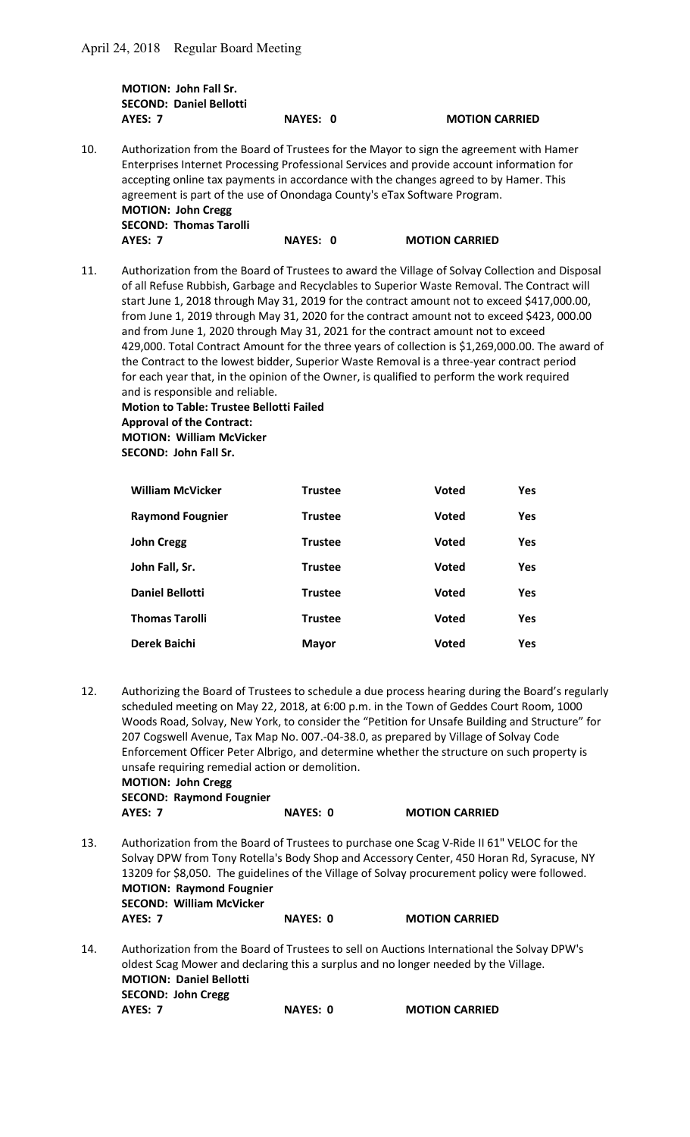**MOTION: John Fall Sr. SECOND: Daniel Bellotti AYES: 7 NAYES: 0 MOTION CARRIED** 

10. Authorization from the Board of Trustees for the Mayor to sign the agreement with Hamer Enterprises Internet Processing Professional Services and provide account information for accepting online tax payments in accordance with the changes agreed to by Hamer. This agreement is part of the use of Onondaga County's eTax Software Program.  **MOTION: John Cregg SECOND: Thomas Tarolli AYES: 7** NAYES: 0 MOTION CARRIED

11. Authorization from the Board of Trustees to award the Village of Solvay Collection and Disposal of all Refuse Rubbish, Garbage and Recyclables to Superior Waste Removal. The Contract will start June 1, 2018 through May 31, 2019 for the contract amount not to exceed \$417,000.00, from June 1, 2019 through May 31, 2020 for the contract amount not to exceed \$423, 000.00 and from June 1, 2020 through May 31, 2021 for the contract amount not to exceed 429,000. Total Contract Amount for the three years of collection is \$1,269,000.00. The award of the Contract to the lowest bidder, Superior Waste Removal is a three-year contract period for each year that, in the opinion of the Owner, is qualified to perform the work required and is responsible and reliable.

**Motion to Table: Trustee Bellotti Failed Approval of the Contract: MOTION: William McVicker SECOND: John Fall Sr.** 

| <b>William McVicker</b> | <b>Trustee</b> | <b>Voted</b> | <b>Yes</b> |
|-------------------------|----------------|--------------|------------|
| <b>Raymond Fougnier</b> | <b>Trustee</b> | <b>Voted</b> | <b>Yes</b> |
| <b>John Cregg</b>       | <b>Trustee</b> | <b>Voted</b> | <b>Yes</b> |
| John Fall, Sr.          | <b>Trustee</b> | <b>Voted</b> | <b>Yes</b> |
| <b>Daniel Bellotti</b>  | <b>Trustee</b> | <b>Voted</b> | <b>Yes</b> |
| <b>Thomas Tarolli</b>   | <b>Trustee</b> | <b>Voted</b> | <b>Yes</b> |
| <b>Derek Baichi</b>     | <b>Mayor</b>   | <b>Voted</b> | <b>Yes</b> |

- 12. Authorizing the Board of Trustees to schedule a due process hearing during the Board's regularly scheduled meeting on May 22, 2018, at 6:00 p.m. in the Town of Geddes Court Room, 1000 Woods Road, Solvay, New York, to consider the "Petition for Unsafe Building and Structure" for 207 Cogswell Avenue, Tax Map No. 007.-04-38.0, as prepared by Village of Solvay Code Enforcement Officer Peter Albrigo, and determine whether the structure on such property is unsafe requiring remedial action or demolition.  **MOTION: John Cregg SECOND: Raymond Fougnier AYES: 7 NAYES: 0 MOTION CARRIED**
- 13. Authorization from the Board of Trustees to purchase one Scag V-Ride II 61" VELOC for the Solvay DPW from Tony Rotella's Body Shop and Accessory Center, 450 Horan Rd, Syracuse, NY 13209 for \$8,050. The guidelines of the Village of Solvay procurement policy were followed.  **MOTION: Raymond Fougnier SECOND: William McVicker AYES: 7** NAYES: 0 MOTION CARRIED 14. Authorization from the Board of Trustees to sell on Auctions International the Solvay DPW's oldest Scag Mower and declaring this a surplus and no longer needed by the Village.  **MOTION: Daniel Bellotti**

**AYES: 7** NAYES: 0 MOTION CARRIED

 **SECOND: John Cregg**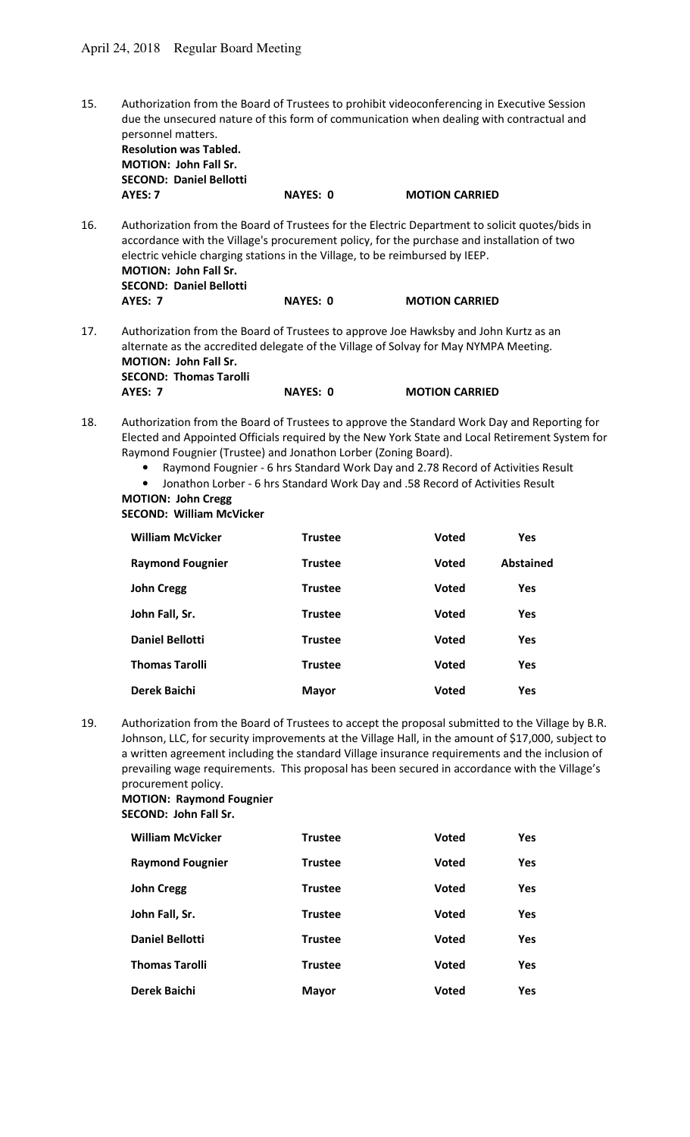15. Authorization from the Board of Trustees to prohibit videoconferencing in Executive Session due the unsecured nature of this form of communication when dealing with contractual and personnel matters. **Resolution was Tabled.** 

 **MOTION: John Fall Sr. SECOND: Daniel Bellotti** 

**AYES: 7** NAYES: 0 MOTION CARRIED

16. Authorization from the Board of Trustees for the Electric Department to solicit quotes/bids in accordance with the Village's procurement policy, for the purchase and installation of two electric vehicle charging stations in the Village, to be reimbursed by IEEP.  **MOTION: John Fall Sr. SECOND: Daniel Bellotti AYES: 7 NAYES: 0 MOTION CARRIED** 

- 17. Authorization from the Board of Trustees to approve Joe Hawksby and John Kurtz as an alternate as the accredited delegate of the Village of Solvay for May NYMPA Meeting.  **MOTION: John Fall Sr. SECOND: Thomas Tarolli AYES: 7** NAYES: 0 MOTION CARRIED
- 18. Authorization from the Board of Trustees to approve the Standard Work Day and Reporting for Elected and Appointed Officials required by the New York State and Local Retirement System for Raymond Fougnier (Trustee) and Jonathon Lorber (Zoning Board).
	- Raymond Fougnier 6 hrs Standard Work Day and 2.78 Record of Activities Result
	- Jonathon Lorber 6 hrs Standard Work Day and .58 Record of Activities Result

#### **MOTION: John Cregg SECOND: William McVicker**

| <b>William McVicker</b> | <b>Trustee</b> | <b>Voted</b> | Yes       |
|-------------------------|----------------|--------------|-----------|
| <b>Raymond Fougnier</b> | <b>Trustee</b> | <b>Voted</b> | Abstained |
| <b>John Cregg</b>       | <b>Trustee</b> | <b>Voted</b> | Yes       |
| John Fall, Sr.          | <b>Trustee</b> | <b>Voted</b> | Yes       |
| <b>Daniel Bellotti</b>  | <b>Trustee</b> | <b>Voted</b> | Yes       |
| <b>Thomas Tarolli</b>   | <b>Trustee</b> | <b>Voted</b> | Yes       |
| Derek Baichi            | <b>Mayor</b>   | <b>Voted</b> | Yes       |

19. Authorization from the Board of Trustees to accept the proposal submitted to the Village by B.R. Johnson, LLC, for security improvements at the Village Hall, in the amount of \$17,000, subject to a written agreement including the standard Village insurance requirements and the inclusion of prevailing wage requirements. This proposal has been secured in accordance with the Village's procurement policy.

## **MOTION: Raymond Fougnier SECOND: John Fall Sr.**

| <b>William McVicker</b> | <b>Trustee</b> | <b>Voted</b> | <b>Yes</b> |
|-------------------------|----------------|--------------|------------|
| <b>Raymond Fougnier</b> | <b>Trustee</b> | <b>Voted</b> | <b>Yes</b> |
| <b>John Cregg</b>       | <b>Trustee</b> | <b>Voted</b> | <b>Yes</b> |
| John Fall, Sr.          | <b>Trustee</b> | <b>Voted</b> | <b>Yes</b> |
| <b>Daniel Bellotti</b>  | <b>Trustee</b> | <b>Voted</b> | <b>Yes</b> |
| <b>Thomas Tarolli</b>   | <b>Trustee</b> | <b>Voted</b> | <b>Yes</b> |
| Derek Baichi            | <b>Mayor</b>   | <b>Voted</b> | <b>Yes</b> |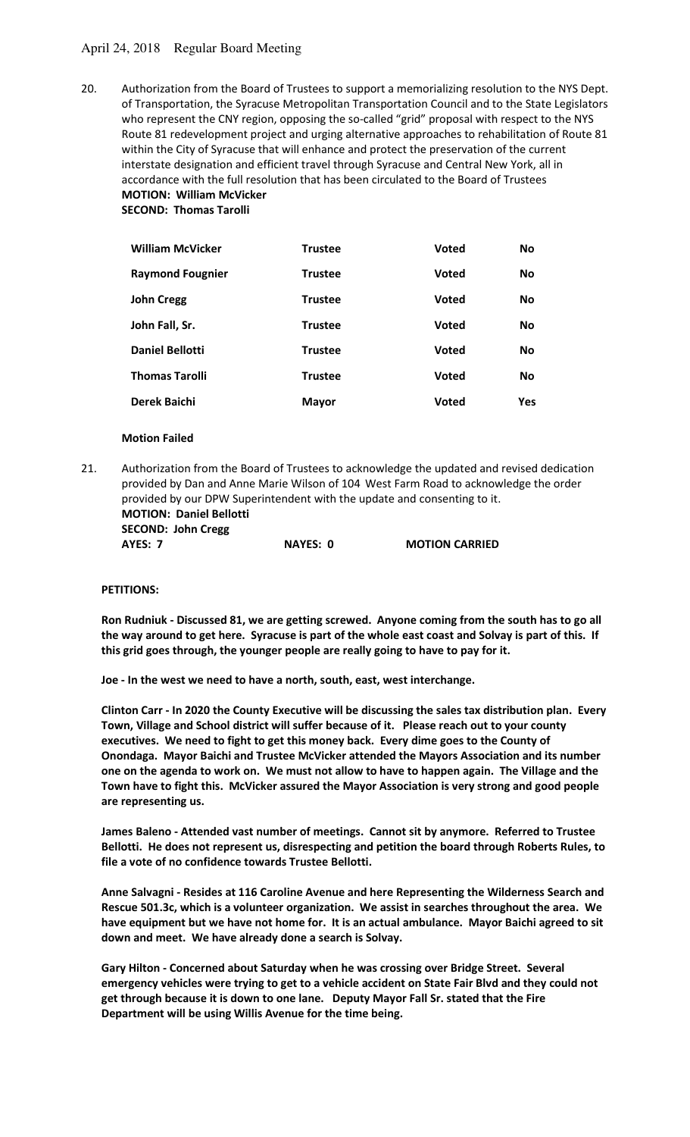# April 24, 2018 Regular Board Meeting

20. Authorization from the Board of Trustees to support a memorializing resolution to the NYS Dept. of Transportation, the Syracuse Metropolitan Transportation Council and to the State Legislators who represent the CNY region, opposing the so-called "grid" proposal with respect to the NYS Route 81 redevelopment project and urging alternative approaches to rehabilitation of Route 81 within the City of Syracuse that will enhance and protect the preservation of the current interstate designation and efficient travel through Syracuse and Central New York, all in accordance with the full resolution that has been circulated to the Board of Trustees  **MOTION: William McVicker** 

 **SECOND: Thomas Tarolli** 

| <b>William McVicker</b> | <b>Trustee</b> | <b>Voted</b> | <b>No</b>  |
|-------------------------|----------------|--------------|------------|
| <b>Raymond Fougnier</b> | <b>Trustee</b> | <b>Voted</b> | <b>No</b>  |
| <b>John Cregg</b>       | <b>Trustee</b> | <b>Voted</b> | <b>No</b>  |
| John Fall, Sr.          | <b>Trustee</b> | <b>Voted</b> | <b>No</b>  |
| <b>Daniel Bellotti</b>  | <b>Trustee</b> | <b>Voted</b> | <b>No</b>  |
| <b>Thomas Tarolli</b>   | <b>Trustee</b> | <b>Voted</b> | <b>No</b>  |
| <b>Derek Baichi</b>     | <b>Mayor</b>   | <b>Voted</b> | <b>Yes</b> |

## **Motion Failed**

21. Authorization from the Board of Trustees to acknowledge the updated and revised dedication provided by Dan and Anne Marie Wilson of 104 West Farm Road to acknowledge the order provided by our DPW Superintendent with the update and consenting to it.  **MOTION: Daniel Bellotti** 

 **SECOND: John Cregg AYES: 7 NAYES: 0 MOTION CARRIED** 

#### **PETITIONS:**

**Ron Rudniuk - Discussed 81, we are getting screwed. Anyone coming from the south has to go all the way around to get here. Syracuse is part of the whole east coast and Solvay is part of this. If this grid goes through, the younger people are really going to have to pay for it.** 

**Joe - In the west we need to have a north, south, east, west interchange.** 

**Clinton Carr - In 2020 the County Executive will be discussing the sales tax distribution plan. Every Town, Village and School district will suffer because of it. Please reach out to your county executives. We need to fight to get this money back. Every dime goes to the County of Onondaga. Mayor Baichi and Trustee McVicker attended the Mayors Association and its number one on the agenda to work on. We must not allow to have to happen again. The Village and the Town have to fight this. McVicker assured the Mayor Association is very strong and good people are representing us.** 

**James Baleno - Attended vast number of meetings. Cannot sit by anymore. Referred to Trustee Bellotti. He does not represent us, disrespecting and petition the board through Roberts Rules, to file a vote of no confidence towards Trustee Bellotti.** 

**Anne Salvagni - Resides at 116 Caroline Avenue and here Representing the Wilderness Search and Rescue 501.3c, which is a volunteer organization. We assist in searches throughout the area. We have equipment but we have not home for. It is an actual ambulance. Mayor Baichi agreed to sit down and meet. We have already done a search is Solvay.** 

**Gary Hilton - Concerned about Saturday when he was crossing over Bridge Street. Several emergency vehicles were trying to get to a vehicle accident on State Fair Blvd and they could not get through because it is down to one lane. Deputy Mayor Fall Sr. stated that the Fire Department will be using Willis Avenue for the time being.**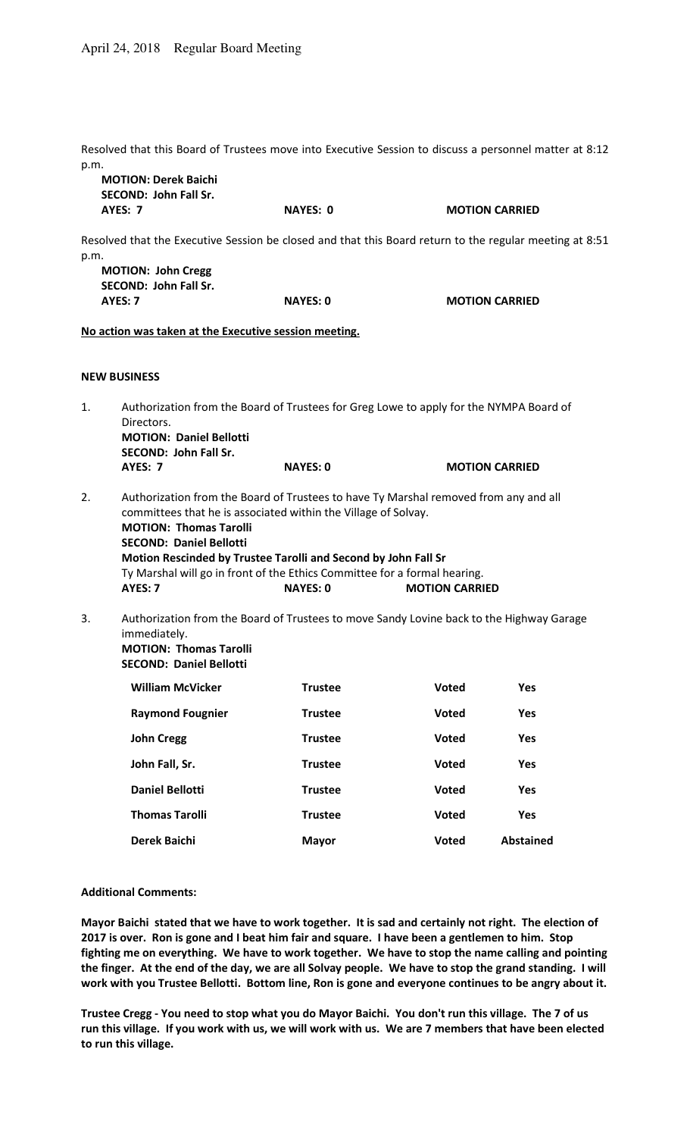Resolved that this Board of Trustees move into Executive Session to discuss a personnel matter at 8:12 p.m.

|      | <b>MOTION: Derek Baichi</b><br><b>SECOND: John Fall Sr.</b>                                                                                                                                                               |                 |                       |                       |  |
|------|---------------------------------------------------------------------------------------------------------------------------------------------------------------------------------------------------------------------------|-----------------|-----------------------|-----------------------|--|
|      | <b>AYES: 7</b>                                                                                                                                                                                                            | <b>NAYES: 0</b> |                       | <b>MOTION CARRIED</b> |  |
| p.m. | Resolved that the Executive Session be closed and that this Board return to the regular meeting at 8:51                                                                                                                   |                 |                       |                       |  |
|      | <b>MOTION: John Cregg</b><br><b>SECOND: John Fall Sr.</b>                                                                                                                                                                 |                 |                       |                       |  |
|      | AYES: 7                                                                                                                                                                                                                   | <b>NAYES: 0</b> |                       | <b>MOTION CARRIED</b> |  |
|      | No action was taken at the Executive session meeting.                                                                                                                                                                     |                 |                       |                       |  |
|      | <b>NEW BUSINESS</b>                                                                                                                                                                                                       |                 |                       |                       |  |
| 1.   | Authorization from the Board of Trustees for Greg Lowe to apply for the NYMPA Board of<br>Directors.<br><b>MOTION: Daniel Bellotti</b><br><b>SECOND: John Fall Sr.</b>                                                    |                 |                       |                       |  |
|      | <b>AYES: 7</b>                                                                                                                                                                                                            | <b>NAYES: 0</b> | <b>MOTION CARRIED</b> |                       |  |
| 2.   | Authorization from the Board of Trustees to have Ty Marshal removed from any and all<br>committees that he is associated within the Village of Solvay.<br><b>MOTION: Thomas Tarolli</b><br><b>SECOND: Daniel Bellotti</b> |                 |                       |                       |  |
|      | Motion Rescinded by Trustee Tarolli and Second by John Fall Sr                                                                                                                                                            |                 |                       |                       |  |
|      | Ty Marshal will go in front of the Ethics Committee for a formal hearing.<br>AYES: 7<br><b>NAYES: 0</b><br><b>MOTION CARRIED</b>                                                                                          |                 |                       |                       |  |
| 3.   | Authorization from the Board of Trustees to move Sandy Lovine back to the Highway Garage<br>immediately.<br><b>MOTION: Thomas Tarolli</b><br><b>SECOND: Daniel Bellotti</b>                                               |                 |                       |                       |  |
|      | <b>William McVicker</b>                                                                                                                                                                                                   | <b>Trustee</b>  | Voted                 | Yes                   |  |
|      | <b>Raymond Fougnier</b>                                                                                                                                                                                                   | <b>Trustee</b>  | Voted                 | Yes                   |  |
|      | <b>John Cregg</b>                                                                                                                                                                                                         | <b>Trustee</b>  | <b>Voted</b>          | Yes                   |  |
|      | John Fall, Sr.                                                                                                                                                                                                            | <b>Trustee</b>  | <b>Voted</b>          | Yes                   |  |
|      | <b>Daniel Bellotti</b>                                                                                                                                                                                                    | <b>Trustee</b>  | <b>Voted</b>          | Yes                   |  |

**Thomas Tarolli Trustee Voted Yes Derek Baichi Mayor Voted Abstained**

#### **Additional Comments:**

**Mayor Baichi stated that we have to work together. It is sad and certainly not right. The election of 2017 is over. Ron is gone and I beat him fair and square. I have been a gentlemen to him. Stop fighting me on everything. We have to work together. We have to stop the name calling and pointing the finger. At the end of the day, we are all Solvay people. We have to stop the grand standing. I will work with you Trustee Bellotti. Bottom line, Ron is gone and everyone continues to be angry about it.** 

**Trustee Cregg - You need to stop what you do Mayor Baichi. You don't run this village. The 7 of us run this village. If you work with us, we will work with us. We are 7 members that have been elected to run this village.**